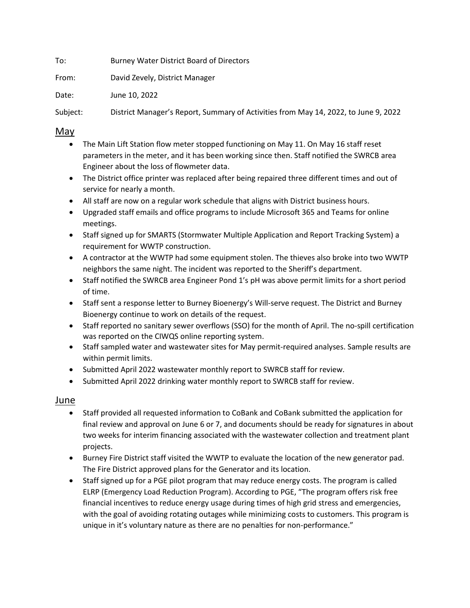To: Burney Water District Board of Directors

From: David Zevely, District Manager

Date: June 10, 2022

Subject: District Manager's Report, Summary of Activities from May 14, 2022, to June 9, 2022

## May

- The Main Lift Station flow meter stopped functioning on May 11. On May 16 staff reset parameters in the meter, and it has been working since then. Staff notified the SWRCB area Engineer about the loss of flowmeter data.
- The District office printer was replaced after being repaired three different times and out of service for nearly a month.
- All staff are now on a regular work schedule that aligns with District business hours.
- Upgraded staff emails and office programs to include Microsoft 365 and Teams for online meetings.
- Staff signed up for SMARTS (Stormwater Multiple Application and Report Tracking System) a requirement for WWTP construction.
- A contractor at the WWTP had some equipment stolen. The thieves also broke into two WWTP neighbors the same night. The incident was reported to the Sheriff's department.
- Staff notified the SWRCB area Engineer Pond 1's pH was above permit limits for a short period of time.
- Staff sent a response letter to Burney Bioenergy's Will-serve request. The District and Burney Bioenergy continue to work on details of the request.
- Staff reported no sanitary sewer overflows (SSO) for the month of April. The no-spill certification was reported on the CIWQS online reporting system.
- Staff sampled water and wastewater sites for May permit-required analyses. Sample results are within permit limits.
- Submitted April 2022 wastewater monthly report to SWRCB staff for review.
- Submitted April 2022 drinking water monthly report to SWRCB staff for review.

## Ju<u>ne</u>

- Staff provided all requested information to CoBank and CoBank submitted the application for final review and approval on June 6 or 7, and documents should be ready for signatures in about two weeks for interim financing associated with the wastewater collection and treatment plant projects.
- Burney Fire District staff visited the WWTP to evaluate the location of the new generator pad. The Fire District approved plans for the Generator and its location.
- Staff signed up for a PGE pilot program that may reduce energy costs. The program is called ELRP (Emergency Load Reduction Program). According to PGE, "The program offers risk free financial incentives to reduce energy usage during times of high grid stress and emergencies, with the goal of avoiding rotating outages while minimizing costs to customers. This program is unique in it's voluntary nature as there are no penalties for non-performance."